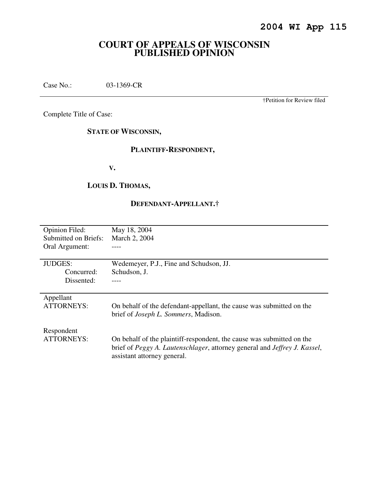## **COURT OF APPEALS OF WISCONSIN PUBLISHED OPINION**

Case No.: 03-1369-CR

†Petition for Review filed

Complete Title of Case:

**STATE OF WISCONSIN,** 

## **PLAINTIFF-RESPONDENT,**

**V.** 

## **LOUIS D. THOMAS,**

## **DEFENDANT-APPELLANT.†**

| <b>Opinion Filed:</b> | May 18, 2004                                                                              |
|-----------------------|-------------------------------------------------------------------------------------------|
| Submitted on Briefs:  | March 2, 2004                                                                             |
| Oral Argument:        |                                                                                           |
|                       |                                                                                           |
| <b>JUDGES:</b>        | Wedemeyer, P.J., Fine and Schudson, JJ.                                                   |
| Concurred:            | Schudson, J.                                                                              |
| Dissented:            |                                                                                           |
|                       |                                                                                           |
| Appellant             |                                                                                           |
| <b>ATTORNEYS:</b>     | On behalf of the defendant-appellant, the cause was submitted on the                      |
|                       | brief of <i>Joseph L. Sommers</i> , Madison.                                              |
|                       |                                                                                           |
| Respondent            |                                                                                           |
| <b>ATTORNEYS:</b>     | On behalf of the plaintiff-respondent, the cause was submitted on the                     |
|                       | brief of <i>Peggy A. Lautenschlager</i> , attorney general and <i>Jeffrey J. Kassel</i> , |
|                       | assistant attorney general.                                                               |
|                       |                                                                                           |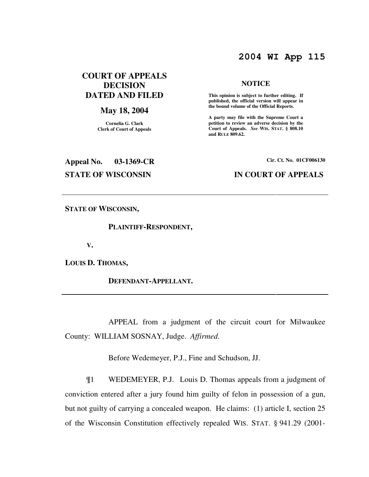## **2004 WI App 115**

## **COURT OF APPEALS DECISION DATED AND FILED**

### **May 18, 2004**

**Cornelia G. Clark Clerk of Court of Appeals**

### **NOTICE**

 **This opinion is subject to further editing. If published, the official version will appear in the bound volume of the Official Reports.** 

**A party may file with the Supreme Court a petition to review an adverse decision by the Court of Appeals.** *See* **WIS. STAT. § 808.10 and RULE 809.62.** 

# **Appeal No. 03-1369-CR Cir. Ct. No. 01CF006130 STATE OF WISCONSIN IN COURT OF APPEALS**

**STATE OF WISCONSIN,** 

 **PLAINTIFF-RESPONDENT,** 

**V.** 

**LOUIS D. THOMAS,** 

 **DEFENDANT-APPELLANT.** 

 APPEAL from a judgment of the circuit court for Milwaukee County: WILLIAM SOSNAY, Judge. *Affirmed*.

Before Wedemeyer, P.J., Fine and Schudson, JJ.

¶1 WEDEMEYER, P.J. Louis D. Thomas appeals from a judgment of conviction entered after a jury found him guilty of felon in possession of a gun, but not guilty of carrying a concealed weapon. He claims: (1) article I, section 25 of the Wisconsin Constitution effectively repealed WIS. STAT. § 941.29 (2001-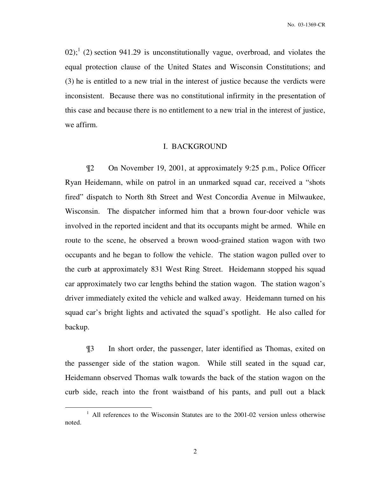02);<sup>1</sup> (2) section 941.29 is unconstitutionally vague, overbroad, and violates the equal protection clause of the United States and Wisconsin Constitutions; and (3) he is entitled to a new trial in the interest of justice because the verdicts were inconsistent. Because there was no constitutional infirmity in the presentation of this case and because there is no entitlement to a new trial in the interest of justice, we affirm.

### I. BACKGROUND

¶2 On November 19, 2001, at approximately 9:25 p.m., Police Officer Ryan Heidemann, while on patrol in an unmarked squad car, received a "shots fired" dispatch to North 8th Street and West Concordia Avenue in Milwaukee, Wisconsin. The dispatcher informed him that a brown four-door vehicle was involved in the reported incident and that its occupants might be armed. While en route to the scene, he observed a brown wood-grained station wagon with two occupants and he began to follow the vehicle. The station wagon pulled over to the curb at approximately 831 West Ring Street. Heidemann stopped his squad car approximately two car lengths behind the station wagon. The station wagon's driver immediately exited the vehicle and walked away. Heidemann turned on his squad car's bright lights and activated the squad's spotlight. He also called for backup.

¶3 In short order, the passenger, later identified as Thomas, exited on the passenger side of the station wagon. While still seated in the squad car, Heidemann observed Thomas walk towards the back of the station wagon on the curb side, reach into the front waistband of his pants, and pull out a black

<sup>&</sup>lt;sup>1</sup> All references to the Wisconsin Statutes are to the 2001-02 version unless otherwise noted.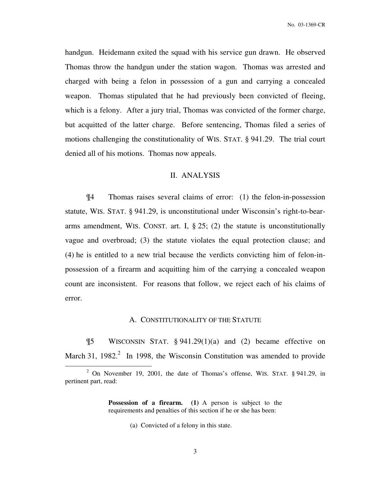handgun. Heidemann exited the squad with his service gun drawn. He observed Thomas throw the handgun under the station wagon. Thomas was arrested and charged with being a felon in possession of a gun and carrying a concealed weapon. Thomas stipulated that he had previously been convicted of fleeing, which is a felony. After a jury trial, Thomas was convicted of the former charge, but acquitted of the latter charge. Before sentencing, Thomas filed a series of motions challenging the constitutionality of WIS. STAT. § 941.29. The trial court denied all of his motions. Thomas now appeals.

### II. ANALYSIS

¶4 Thomas raises several claims of error: (1) the felon-in-possession statute, WIS. STAT. § 941.29, is unconstitutional under Wisconsin's right-to-beararms amendment, WIS. CONST. art. I,  $\S 25$ ; (2) the statute is unconstitutionally vague and overbroad; (3) the statute violates the equal protection clause; and (4) he is entitled to a new trial because the verdicts convicting him of felon-inpossession of a firearm and acquitting him of the carrying a concealed weapon count are inconsistent. For reasons that follow, we reject each of his claims of error.

### A. CONSTITUTIONALITY OF THE STATUTE

¶5 WISCONSIN STAT. § 941.29(1)(a) and (2) became effective on March 31, 1982. $^2$  In 1998, the Wisconsin Constitution was amended to provide

**Possession of a firearm. (1)** A person is subject to the requirements and penalties of this section if he or she has been:

(a)Convicted of a felony in this state.

<sup>&</sup>lt;sup>2</sup> On November 19, 2001, the date of Thomas's offense, WIS. STAT.  $\S$  941.29, in pertinent part, read: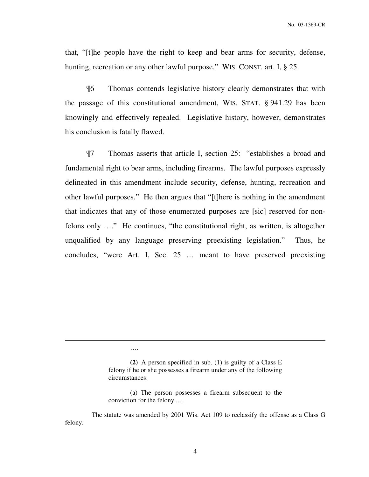that, "[t]he people have the right to keep and bear arms for security, defense, hunting, recreation or any other lawful purpose." WIS. CONST. art. I, § 25.

¶6 Thomas contends legislative history clearly demonstrates that with the passage of this constitutional amendment, WIS. STAT. § 941.29 has been knowingly and effectively repealed. Legislative history, however, demonstrates his conclusion is fatally flawed.

¶7 Thomas asserts that article I, section 25: "establishes a broad and fundamental right to bear arms, including firearms. The lawful purposes expressly delineated in this amendment include security, defense, hunting, recreation and other lawful purposes." He then argues that "[t]here is nothing in the amendment that indicates that any of those enumerated purposes are [sic] reserved for nonfelons only …." He continues, "the constitutional right, as written, is altogether unqualified by any language preserving preexisting legislation." Thus, he concludes, "were Art. I, Sec. 25 … meant to have preserved preexisting

….

**<sup>(2)</sup>** A person specified in sub. (1) is guilty of a Class E felony if he or she possesses a firearm under any of the following circumstances:

<sup>(</sup>a) The person possesses a firearm subsequent to the conviction for the felony .…

The statute was amended by 2001 Wis. Act 109 to reclassify the offense as a Class G felony.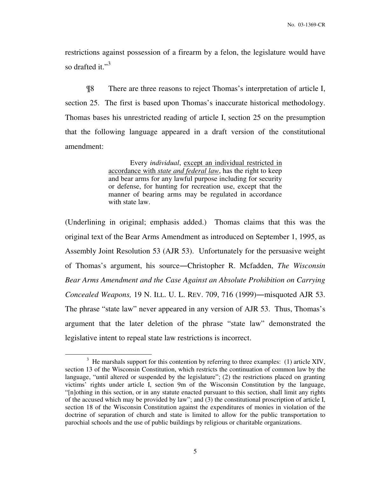restrictions against possession of a firearm by a felon, the legislature would have so drafted it."<sup>3</sup>

¶8 There are three reasons to reject Thomas's interpretation of article I, section 25. The first is based upon Thomas's inaccurate historical methodology. Thomas bases his unrestricted reading of article I, section 25 on the presumption that the following language appeared in a draft version of the constitutional amendment:

> Every *individual*, except an individual restricted in accordance with *state and federal law*, has the right to keep and bear arms for any lawful purpose including for security or defense, for hunting for recreation use, except that the manner of bearing arms may be regulated in accordance with state law.

(Underlining in original; emphasis added.) Thomas claims that this was the original text of the Bear Arms Amendment as introduced on September 1, 1995, as Assembly Joint Resolution 53 (AJR 53). Unfortunately for the persuasive weight of Thomas's argument, his source―Christopher R. Mcfadden, *The Wisconsin Bear Arms Amendment and the Case Against an Absolute Prohibition on Carrying Concealed Weapons,* 19 N. ILL. U. L. REV. 709, 716 (1999)―misquoted AJR 53. The phrase "state law" never appeared in any version of AJR 53. Thus, Thomas's argument that the later deletion of the phrase "state law" demonstrated the legislative intent to repeal state law restrictions is incorrect.

 $3$  He marshals support for this contention by referring to three examples: (1) article XIV, section 13 of the Wisconsin Constitution, which restricts the continuation of common law by the language, "until altered or suspended by the legislature"; (2) the restrictions placed on granting victims' rights under article I, section 9m of the Wisconsin Constitution by the language, "[n]othing in this section, or in any statute enacted pursuant to this section, shall limit any rights of the accused which may be provided by law"; and (3) the constitutional proscription of article I, section 18 of the Wisconsin Constitution against the expenditures of monies in violation of the doctrine of separation of church and state is limited to allow for the public transportation to parochial schools and the use of public buildings by religious or charitable organizations.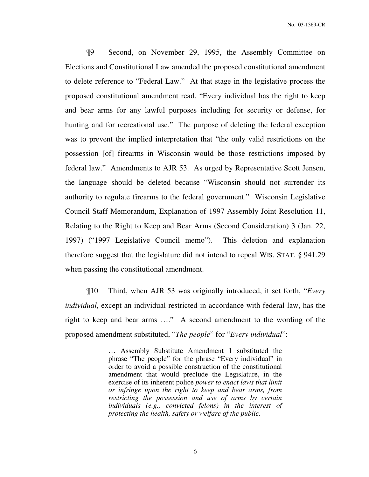¶9 Second, on November 29, 1995, the Assembly Committee on Elections and Constitutional Law amended the proposed constitutional amendment to delete reference to "Federal Law." At that stage in the legislative process the proposed constitutional amendment read, "Every individual has the right to keep and bear arms for any lawful purposes including for security or defense, for hunting and for recreational use." The purpose of deleting the federal exception was to prevent the implied interpretation that "the only valid restrictions on the possession [of] firearms in Wisconsin would be those restrictions imposed by federal law." Amendments to AJR 53. As urged by Representative Scott Jensen, the language should be deleted because "Wisconsin should not surrender its authority to regulate firearms to the federal government." Wisconsin Legislative Council Staff Memorandum, Explanation of 1997 Assembly Joint Resolution 11, Relating to the Right to Keep and Bear Arms (Second Consideration) 3 (Jan. 22, 1997) ("1997 Legislative Council memo"). This deletion and explanation therefore suggest that the legislature did not intend to repeal WIS. STAT. § 941.29 when passing the constitutional amendment.

¶10 Third, when AJR 53 was originally introduced, it set forth, "*Every individual*, except an individual restricted in accordance with federal law, has the right to keep and bear arms …." A second amendment to the wording of the proposed amendment substituted, "*The people*" for "*Every individual*":

> … Assembly Substitute Amendment 1 substituted the phrase "The people" for the phrase "Every individual" in order to avoid a possible construction of the constitutional amendment that would preclude the Legislature, in the exercise of its inherent police *power to enact laws that limit or infringe upon the right to keep and bear arms, from restricting the possession and use of arms by certain individuals (e.g., convicted felons) in the interest of protecting the health, safety or welfare of the public.*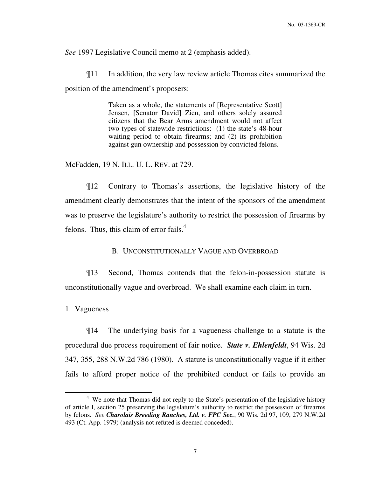*See* 1997 Legislative Council memo at 2 (emphasis added).

¶11 In addition, the very law review article Thomas cites summarized the position of the amendment's proposers:

> Taken as a whole, the statements of [Representative Scott] Jensen, [Senator David] Zien, and others solely assured citizens that the Bear Arms amendment would not affect two types of statewide restrictions: (1) the state's 48-hour waiting period to obtain firearms; and (2) its prohibition against gun ownership and possession by convicted felons.

McFadden, 19 N. ILL. U. L. REV. at 729.

¶12 Contrary to Thomas's assertions, the legislative history of the amendment clearly demonstrates that the intent of the sponsors of the amendment was to preserve the legislature's authority to restrict the possession of firearms by felons. Thus, this claim of error fails. $4$ 

B. UNCONSTITUTIONALLY VAGUE AND OVERBROAD

¶13 Second, Thomas contends that the felon-in-possession statute is unconstitutionally vague and overbroad. We shall examine each claim in turn.

1. Vagueness

 $\overline{a}$ 

¶14 The underlying basis for a vagueness challenge to a statute is the procedural due process requirement of fair notice. *State v. Ehlenfeldt*, 94 Wis. 2d 347, 355, 288 N.W.2d 786 (1980). A statute is unconstitutionally vague if it either fails to afford proper notice of the prohibited conduct or fails to provide an

<sup>&</sup>lt;sup>4</sup> We note that Thomas did not reply to the State's presentation of the legislative history of article I, section 25 preserving the legislature's authority to restrict the possession of firearms by felons. *See Charolais Breeding Ranches, Ltd. v. FPC Sec.*, 90 Wis. 2d 97, 109, 279 N.W.2d 493 (Ct. App. 1979) (analysis not refuted is deemed conceded).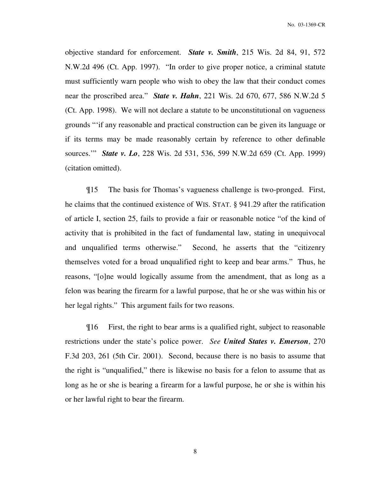objective standard for enforcement. *State v. Smith*, 215 Wis. 2d 84, 91, 572 N.W.2d 496 (Ct. App. 1997). "In order to give proper notice, a criminal statute must sufficiently warn people who wish to obey the law that their conduct comes near the proscribed area." *State v. Hahn*, 221 Wis. 2d 670, 677, 586 N.W.2d 5 (Ct. App. 1998). We will not declare a statute to be unconstitutional on vagueness grounds "'if any reasonable and practical construction can be given its language or if its terms may be made reasonably certain by reference to other definable sources.'" *State v. Lo*, 228 Wis. 2d 531, 536, 599 N.W.2d 659 (Ct. App. 1999) (citation omitted).

¶15 The basis for Thomas's vagueness challenge is two-pronged. First, he claims that the continued existence of WIS. STAT. § 941.29 after the ratification of article I, section 25, fails to provide a fair or reasonable notice "of the kind of activity that is prohibited in the fact of fundamental law, stating in unequivocal and unqualified terms otherwise." Second, he asserts that the "citizenry themselves voted for a broad unqualified right to keep and bear arms." Thus, he reasons, "[o]ne would logically assume from the amendment, that as long as a felon was bearing the firearm for a lawful purpose, that he or she was within his or her legal rights." This argument fails for two reasons.

¶16 First, the right to bear arms is a qualified right, subject to reasonable restrictions under the state's police power. *See United States v. Emerson*, 270 F.3d 203, 261 (5th Cir. 2001). Second, because there is no basis to assume that the right is "unqualified," there is likewise no basis for a felon to assume that as long as he or she is bearing a firearm for a lawful purpose, he or she is within his or her lawful right to bear the firearm.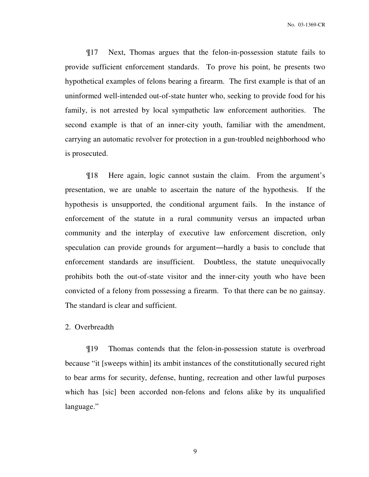¶17 Next, Thomas argues that the felon-in-possession statute fails to provide sufficient enforcement standards. To prove his point, he presents two hypothetical examples of felons bearing a firearm. The first example is that of an uninformed well-intended out-of-state hunter who, seeking to provide food for his family, is not arrested by local sympathetic law enforcement authorities. The second example is that of an inner-city youth, familiar with the amendment, carrying an automatic revolver for protection in a gun-troubled neighborhood who is prosecuted.

¶18 Here again, logic cannot sustain the claim. From the argument's presentation, we are unable to ascertain the nature of the hypothesis. If the hypothesis is unsupported, the conditional argument fails. In the instance of enforcement of the statute in a rural community versus an impacted urban community and the interplay of executive law enforcement discretion, only speculation can provide grounds for argument―hardly a basis to conclude that enforcement standards are insufficient. Doubtless, the statute unequivocally prohibits both the out-of-state visitor and the inner-city youth who have been convicted of a felony from possessing a firearm. To that there can be no gainsay. The standard is clear and sufficient.

### 2. Overbreadth

¶19 Thomas contends that the felon-in-possession statute is overbroad because "it [sweeps within] its ambit instances of the constitutionally secured right to bear arms for security, defense, hunting, recreation and other lawful purposes which has [sic] been accorded non-felons and felons alike by its unqualified language."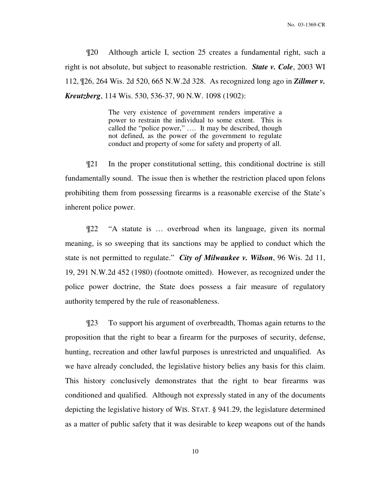¶20 Although article I, section 25 creates a fundamental right, such a right is not absolute, but subject to reasonable restriction. *State v. Cole*, 2003 WI 112, ¶26, 264 Wis. 2d 520, 665 N.W.2d 328. As recognized long ago in *Zillmer v. Kreutzberg*, 114 Wis. 530, 536-37, 90 N.W. 1098 (1902):

> The very existence of government renders imperative a power to restrain the individual to some extent. This is called the "police power," …. It may be described, though not defined, as the power of the government to regulate conduct and property of some for safety and property of all.

¶21 In the proper constitutional setting, this conditional doctrine is still fundamentally sound. The issue then is whether the restriction placed upon felons prohibiting them from possessing firearms is a reasonable exercise of the State's inherent police power.

¶22 "A statute is … overbroad when its language, given its normal meaning, is so sweeping that its sanctions may be applied to conduct which the state is not permitted to regulate." *City of Milwaukee v. Wilson*, 96 Wis. 2d 11, 19, 291 N.W.2d 452 (1980) (footnote omitted). However, as recognized under the police power doctrine, the State does possess a fair measure of regulatory authority tempered by the rule of reasonableness.

¶23 To support his argument of overbreadth, Thomas again returns to the proposition that the right to bear a firearm for the purposes of security, defense, hunting, recreation and other lawful purposes is unrestricted and unqualified. As we have already concluded, the legislative history belies any basis for this claim. This history conclusively demonstrates that the right to bear firearms was conditioned and qualified. Although not expressly stated in any of the documents depicting the legislative history of WIS. STAT. § 941.29, the legislature determined as a matter of public safety that it was desirable to keep weapons out of the hands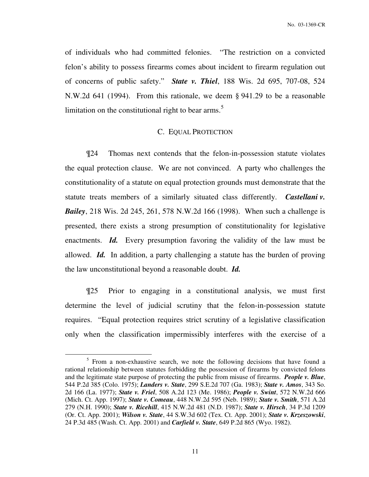of individuals who had committed felonies. "The restriction on a convicted felon's ability to possess firearms comes about incident to firearm regulation out of concerns of public safety." *State v. Thiel*, 188 Wis. 2d 695, 707-08, 524 N.W.2d 641 (1994). From this rationale, we deem § 941.29 to be a reasonable limitation on the constitutional right to bear arms.<sup>5</sup>

### C. EQUAL PROTECTION

¶24 Thomas next contends that the felon-in-possession statute violates the equal protection clause. We are not convinced. A party who challenges the constitutionality of a statute on equal protection grounds must demonstrate that the statute treats members of a similarly situated class differently. *Castellani v. Bailey*, 218 Wis. 2d 245, 261, 578 N.W.2d 166 (1998). When such a challenge is presented, there exists a strong presumption of constitutionality for legislative enactments. *Id.* Every presumption favoring the validity of the law must be allowed. *Id.* In addition, a party challenging a statute has the burden of proving the law unconstitutional beyond a reasonable doubt. *Id.*

¶25 Prior to engaging in a constitutional analysis, we must first determine the level of judicial scrutiny that the felon-in-possession statute requires. "Equal protection requires strict scrutiny of a legislative classification only when the classification impermissibly interferes with the exercise of a

<sup>&</sup>lt;sup>5</sup> From a non-exhaustive search, we note the following decisions that have found a rational relationship between statutes forbidding the possession of firearms by convicted felons and the legitimate state purpose of protecting the public from misuse of firearms. *People v. Blue*, 544 P.2d 385 (Colo. 1975); *Landers v. State*, 299 S.E.2d 707 (Ga. 1983); *State v. Amos*, 343 So. 2d 166 (La. 1977); *State v. Friel*, 508 A.2d 123 (Me. 1986); *People v. Swint*, 572 N.W.2d 666 (Mich. Ct. App. 1997); *State v. Comeau*, 448 N.W.2d 595 (Neb. 1989); *State v. Smith*, 571 A.2d 279 (N.H. 1990); *State v. Ricehill*, 415 N.W.2d 481 (N.D. 1987); *State v. Hirsch*, 34 P.3d 1209 (Or. Ct. App. 2001); *Wilson v. State*, 44 S.W.3d 602 (Tex. Ct. App. 2001); *State v. Krzeszowski*, 24 P.3d 485 (Wash. Ct. App. 2001) and *Carfield v. State*, 649 P.2d 865 (Wyo. 1982).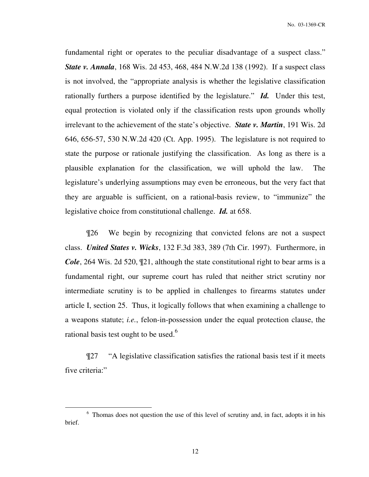fundamental right or operates to the peculiar disadvantage of a suspect class." *State v. Annala*, 168 Wis. 2d 453, 468, 484 N.W.2d 138 (1992). If a suspect class is not involved, the "appropriate analysis is whether the legislative classification rationally furthers a purpose identified by the legislature." *Id.* Under this test, equal protection is violated only if the classification rests upon grounds wholly irrelevant to the achievement of the state's objective. *State v. Martin*, 191 Wis. 2d 646, 656-57, 530 N.W.2d 420 (Ct. App. 1995). The legislature is not required to state the purpose or rationale justifying the classification. As long as there is a plausible explanation for the classification, we will uphold the law. The legislature's underlying assumptions may even be erroneous, but the very fact that they are arguable is sufficient, on a rational-basis review, to "immunize" the legislative choice from constitutional challenge. *Id.* at 658.

¶26 We begin by recognizing that convicted felons are not a suspect class. *United States v. Wicks*, 132 F.3d 383, 389 (7th Cir. 1997). Furthermore, in *Cole*, 264 Wis. 2d 520, 121, although the state constitutional right to bear arms is a fundamental right, our supreme court has ruled that neither strict scrutiny nor intermediate scrutiny is to be applied in challenges to firearms statutes under article I, section 25. Thus, it logically follows that when examining a challenge to a weapons statute; *i.e.*, felon-in-possession under the equal protection clause, the rational basis test ought to be used. $6$ 

¶27 "A legislative classification satisfies the rational basis test if it meets five criteria:"

<sup>&</sup>lt;sup>6</sup> Thomas does not question the use of this level of scrutiny and, in fact, adopts it in his brief.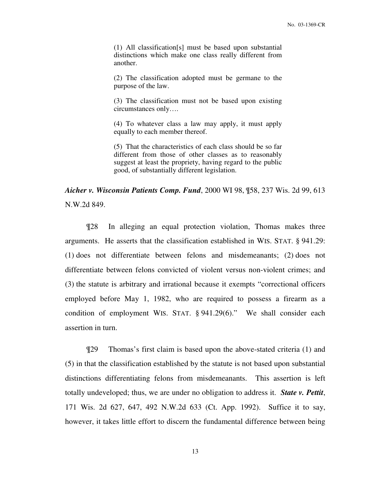(1) All classification[s] must be based upon substantial distinctions which make one class really different from another.

(2) The classification adopted must be germane to the purpose of the law.

(3) The classification must not be based upon existing circumstances only….

(4) To whatever class a law may apply, it must apply equally to each member thereof.

(5) That the characteristics of each class should be so far different from those of other classes as to reasonably suggest at least the propriety, having regard to the public good, of substantially different legislation.

*Aicher v. Wisconsin Patients Comp. Fund*, 2000 WI 98, ¶58, 237 Wis. 2d 99, 613 N.W.2d 849.

¶28 In alleging an equal protection violation, Thomas makes three arguments. He asserts that the classification established in WIS. STAT. § 941.29: (1) does not differentiate between felons and misdemeanants; (2) does not differentiate between felons convicted of violent versus non-violent crimes; and (3) the statute is arbitrary and irrational because it exempts "correctional officers employed before May 1, 1982, who are required to possess a firearm as a condition of employment WIS. STAT. § 941.29(6)." We shall consider each assertion in turn.

¶29 Thomas's first claim is based upon the above-stated criteria (1) and (5) in that the classification established by the statute is not based upon substantial distinctions differentiating felons from misdemeanants. This assertion is left totally undeveloped; thus, we are under no obligation to address it. *State v. Pettit*, 171 Wis. 2d 627, 647, 492 N.W.2d 633 (Ct. App. 1992). Suffice it to say, however, it takes little effort to discern the fundamental difference between being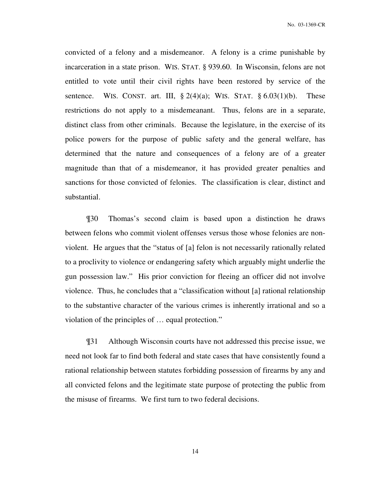No. 03-1369-CR

convicted of a felony and a misdemeanor. A felony is a crime punishable by incarceration in a state prison. WIS. STAT. § 939.60. In Wisconsin, felons are not entitled to vote until their civil rights have been restored by service of the sentence. WIS. CONST. art. III,  $\S 2(4)(a)$ ; WIS. STAT.  $\S 6.03(1)(b)$ . These restrictions do not apply to a misdemeanant. Thus, felons are in a separate, distinct class from other criminals. Because the legislature, in the exercise of its police powers for the purpose of public safety and the general welfare, has determined that the nature and consequences of a felony are of a greater magnitude than that of a misdemeanor, it has provided greater penalties and sanctions for those convicted of felonies. The classification is clear, distinct and substantial.

¶30 Thomas's second claim is based upon a distinction he draws between felons who commit violent offenses versus those whose felonies are nonviolent. He argues that the "status of [a] felon is not necessarily rationally related to a proclivity to violence or endangering safety which arguably might underlie the gun possession law." His prior conviction for fleeing an officer did not involve violence. Thus, he concludes that a "classification without [a] rational relationship to the substantive character of the various crimes is inherently irrational and so a violation of the principles of … equal protection."

¶31 Although Wisconsin courts have not addressed this precise issue, we need not look far to find both federal and state cases that have consistently found a rational relationship between statutes forbidding possession of firearms by any and all convicted felons and the legitimate state purpose of protecting the public from the misuse of firearms. We first turn to two federal decisions.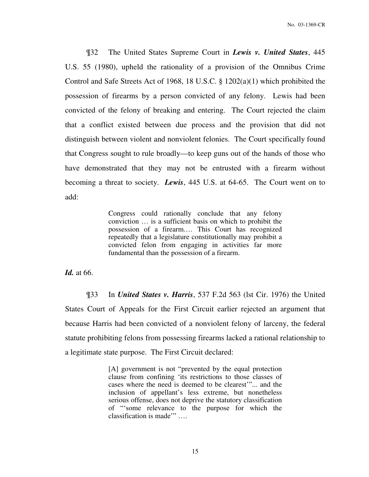¶32 The United States Supreme Court in *Lewis v. United States*, 445 U.S. 55 (1980), upheld the rationality of a provision of the Omnibus Crime Control and Safe Streets Act of 1968, 18 U.S.C. § 1202(a)(1) which prohibited the possession of firearms by a person convicted of any felony. Lewis had been convicted of the felony of breaking and entering. The Court rejected the claim that a conflict existed between due process and the provision that did not distinguish between violent and nonviolent felonies. The Court specifically found that Congress sought to rule broadly—to keep guns out of the hands of those who have demonstrated that they may not be entrusted with a firearm without becoming a threat to society. *Lewis*, 445 U.S. at 64-65. The Court went on to add:

> Congress could rationally conclude that any felony conviction … is a sufficient basis on which to prohibit the possession of a firearm.… This Court has recognized repeatedly that a legislature constitutionally may prohibit a convicted felon from engaging in activities far more fundamental than the possession of a firearm.

*Id.* at 66.

¶33 In *United States v. Harris*, 537 F.2d 563 (lst Cir. 1976) the United States Court of Appeals for the First Circuit earlier rejected an argument that because Harris had been convicted of a nonviolent felony of larceny, the federal statute prohibiting felons from possessing firearms lacked a rational relationship to a legitimate state purpose. The First Circuit declared:

> [A] government is not "prevented by the equal protection clause from confining 'its restrictions to those classes of cases where the need is deemed to be clearest'"... and the inclusion of appellant's less extreme, but nonetheless serious offense, does not deprive the statutory classification of "'some relevance to the purpose for which the classification is made'" ….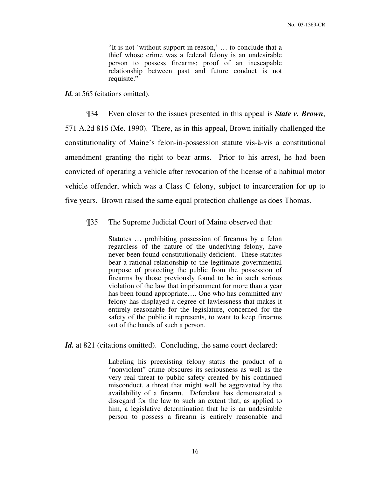"It is not 'without support in reason,' … to conclude that a thief whose crime was a federal felony is an undesirable person to possess firearms; proof of an inescapable relationship between past and future conduct is not requisite."

Id. at 565 (citations omitted).

¶34 Even closer to the issues presented in this appeal is *State v. Brown*, 571 A.2d 816 (Me. 1990). There, as in this appeal, Brown initially challenged the constitutionality of Maine's felon-in-possession statute vis-à-vis a constitutional amendment granting the right to bear arms. Prior to his arrest, he had been convicted of operating a vehicle after revocation of the license of a habitual motor vehicle offender, which was a Class C felony, subject to incarceration for up to five years. Brown raised the same equal protection challenge as does Thomas.

¶35 The Supreme Judicial Court of Maine observed that:

Statutes … prohibiting possession of firearms by a felon regardless of the nature of the underlying felony, have never been found constitutionally deficient. These statutes bear a rational relationship to the legitimate governmental purpose of protecting the public from the possession of firearms by those previously found to be in such serious violation of the law that imprisonment for more than a year has been found appropriate.... One who has committed any felony has displayed a degree of lawlessness that makes it entirely reasonable for the legislature, concerned for the safety of the public it represents, to want to keep firearms out of the hands of such a person.

Id. at 821 (citations omitted). Concluding, the same court declared:

Labeling his preexisting felony status the product of a "nonviolent" crime obscures its seriousness as well as the very real threat to public safety created by his continued misconduct, a threat that might well be aggravated by the availability of a firearm. Defendant has demonstrated a disregard for the law to such an extent that, as applied to him, a legislative determination that he is an undesirable person to possess a firearm is entirely reasonable and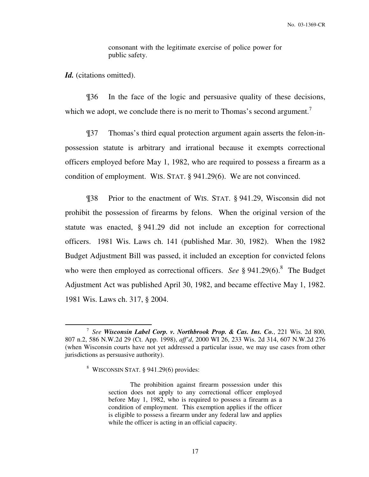consonant with the legitimate exercise of police power for public safety.

Id. (citations omitted).

 $\overline{a}$ 

¶36 In the face of the logic and persuasive quality of these decisions, which we adopt, we conclude there is no merit to Thomas's second argument.<sup>7</sup>

¶37 Thomas's third equal protection argument again asserts the felon-inpossession statute is arbitrary and irrational because it exempts correctional officers employed before May 1, 1982, who are required to possess a firearm as a condition of employment. WIS. STAT. § 941.29(6). We are not convinced.

¶38 Prior to the enactment of WIS. STAT. § 941.29, Wisconsin did not prohibit the possession of firearms by felons. When the original version of the statute was enacted, § 941.29 did not include an exception for correctional officers. 1981 Wis. Laws ch. 141 (published Mar. 30, 1982). When the 1982 Budget Adjustment Bill was passed, it included an exception for convicted felons who were then employed as correctional officers. *See*  $\S 941.29(6)$ .<sup>8</sup> The Budget Adjustment Act was published April 30, 1982, and became effective May 1, 1982. 1981 Wis. Laws ch. 317, § 2004.

<sup>7</sup> *See Wisconsin Label Corp. v. Northbrook Prop. & Cas. Ins. Co.*, 221 Wis. 2d 800, 807 n.2, 586 N.W.2d 29 (Ct. App. 1998), *aff'd*, 2000 WI 26, 233 Wis. 2d 314, 607 N.W.2d 276 (when Wisconsin courts have not yet addressed a particular issue, we may use cases from other jurisdictions as persuasive authority).

<sup>8</sup> WISCONSIN STAT. § 941.29(6) provides:

The prohibition against firearm possession under this section does not apply to any correctional officer employed before May 1, 1982, who is required to possess a firearm as a condition of employment. This exemption applies if the officer is eligible to possess a firearm under any federal law and applies while the officer is acting in an official capacity.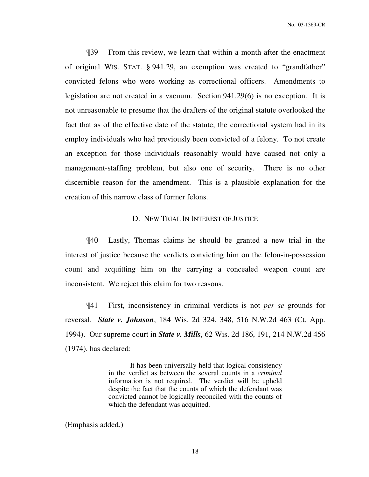¶39 From this review, we learn that within a month after the enactment of original WIS. STAT. § 941.29, an exemption was created to "grandfather" convicted felons who were working as correctional officers. Amendments to legislation are not created in a vacuum. Section 941.29(6) is no exception. It is not unreasonable to presume that the drafters of the original statute overlooked the fact that as of the effective date of the statute, the correctional system had in its employ individuals who had previously been convicted of a felony. To not create an exception for those individuals reasonably would have caused not only a management-staffing problem, but also one of security. There is no other discernible reason for the amendment. This is a plausible explanation for the creation of this narrow class of former felons.

### D. NEW TRIAL IN INTEREST OF JUSTICE

¶40 Lastly, Thomas claims he should be granted a new trial in the interest of justice because the verdicts convicting him on the felon-in-possession count and acquitting him on the carrying a concealed weapon count are inconsistent. We reject this claim for two reasons.

¶41 First, inconsistency in criminal verdicts is not *per se* grounds for reversal. *State v. Johnson*, 184 Wis. 2d 324, 348, 516 N.W.2d 463 (Ct. App. 1994). Our supreme court in *State v. Mills*, 62 Wis. 2d 186, 191, 214 N.W.2d 456 (1974), has declared:

> It has been universally held that logical consistency in the verdict as between the several counts in a *criminal* information is not required. The verdict will be upheld despite the fact that the counts of which the defendant was convicted cannot be logically reconciled with the counts of which the defendant was acquitted.

(Emphasis added.)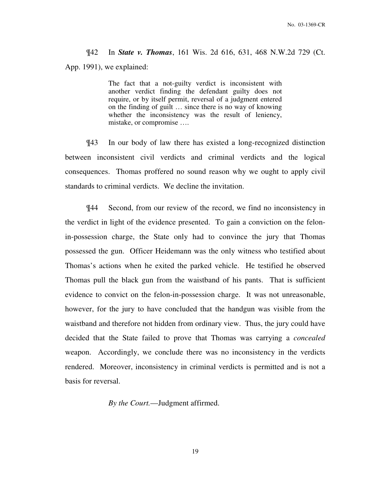¶42 In *State v. Thomas*, 161 Wis. 2d 616, 631, 468 N.W.2d 729 (Ct. App. 1991), we explained:

> The fact that a not-guilty verdict is inconsistent with another verdict finding the defendant guilty does not require, or by itself permit, reversal of a judgment entered on the finding of guilt … since there is no way of knowing whether the inconsistency was the result of leniency, mistake, or compromise ….

¶43 In our body of law there has existed a long-recognized distinction between inconsistent civil verdicts and criminal verdicts and the logical consequences. Thomas proffered no sound reason why we ought to apply civil standards to criminal verdicts. We decline the invitation.

¶44 Second, from our review of the record, we find no inconsistency in the verdict in light of the evidence presented. To gain a conviction on the felonin-possession charge, the State only had to convince the jury that Thomas possessed the gun. Officer Heidemann was the only witness who testified about Thomas's actions when he exited the parked vehicle. He testified he observed Thomas pull the black gun from the waistband of his pants. That is sufficient evidence to convict on the felon-in-possession charge. It was not unreasonable, however, for the jury to have concluded that the handgun was visible from the waistband and therefore not hidden from ordinary view. Thus, the jury could have decided that the State failed to prove that Thomas was carrying a *concealed*  weapon. Accordingly, we conclude there was no inconsistency in the verdicts rendered. Moreover, inconsistency in criminal verdicts is permitted and is not a basis for reversal.

 *By the Court.*—Judgment affirmed.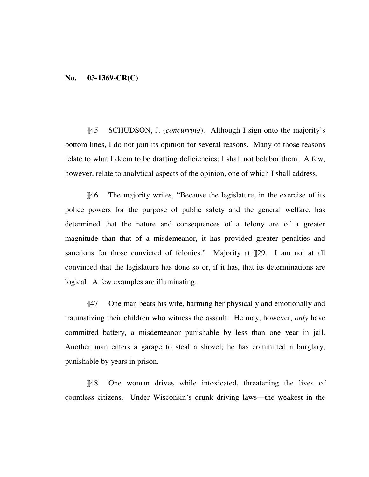### **No. 03-1369-CR(C)**

¶45 SCHUDSON, J. (*concurring*). Although I sign onto the majority's bottom lines, I do not join its opinion for several reasons. Many of those reasons relate to what I deem to be drafting deficiencies; I shall not belabor them. A few, however, relate to analytical aspects of the opinion, one of which I shall address.

¶46 The majority writes, "Because the legislature, in the exercise of its police powers for the purpose of public safety and the general welfare, has determined that the nature and consequences of a felony are of a greater magnitude than that of a misdemeanor, it has provided greater penalties and sanctions for those convicted of felonies." Majority at  $\P$ 29. I am not at all convinced that the legislature has done so or, if it has, that its determinations are logical. A few examples are illuminating.

¶47 One man beats his wife, harming her physically and emotionally and traumatizing their children who witness the assault. He may, however, *only* have committed battery, a misdemeanor punishable by less than one year in jail. Another man enters a garage to steal a shovel; he has committed a burglary, punishable by years in prison.

¶48 One woman drives while intoxicated, threatening the lives of countless citizens. Under Wisconsin's drunk driving laws—the weakest in the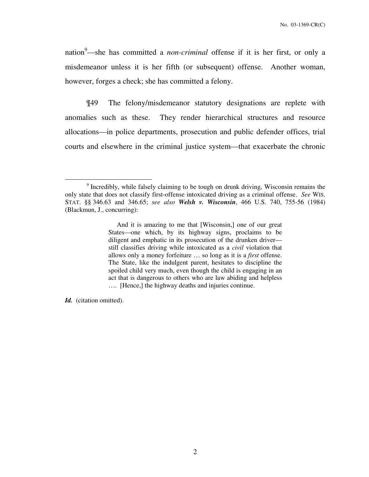nation<sup>9</sup>—she has committed a *non-criminal* offense if it is her first, or only a misdemeanor unless it is her fifth (or subsequent) offense. Another woman, however, forges a check; she has committed a felony.

¶49 The felony/misdemeanor statutory designations are replete with anomalies such as these. They render hierarchical structures and resource allocations—in police departments, prosecution and public defender offices, trial courts and elsewhere in the criminal justice system—that exacerbate the chronic

*Id.* (citation omitted).

<sup>&</sup>lt;sup>9</sup> Incredibly, while falsely claiming to be tough on drunk driving, Wisconsin remains the only state that does not classify first-offense intoxicated driving as a criminal offense. *See* WIS. STAT. §§ 346.63 and 346.65; *see also Welsh v. Wisconsin*, 466 U.S. 740, 755-56 (1984) (Blackmun, J., concurring):

And it is amazing to me that [Wisconsin,] one of our great States—one which, by its highway signs, proclaims to be diligent and emphatic in its prosecution of the drunken driver still classifies driving while intoxicated as a *civil* violation that allows only a money forfeiture … so long as it is a *first* offense. The State, like the indulgent parent, hesitates to discipline the spoiled child very much, even though the child is engaging in an act that is dangerous to others who are law abiding and helpless …. [Hence,] the highway deaths and injuries continue.